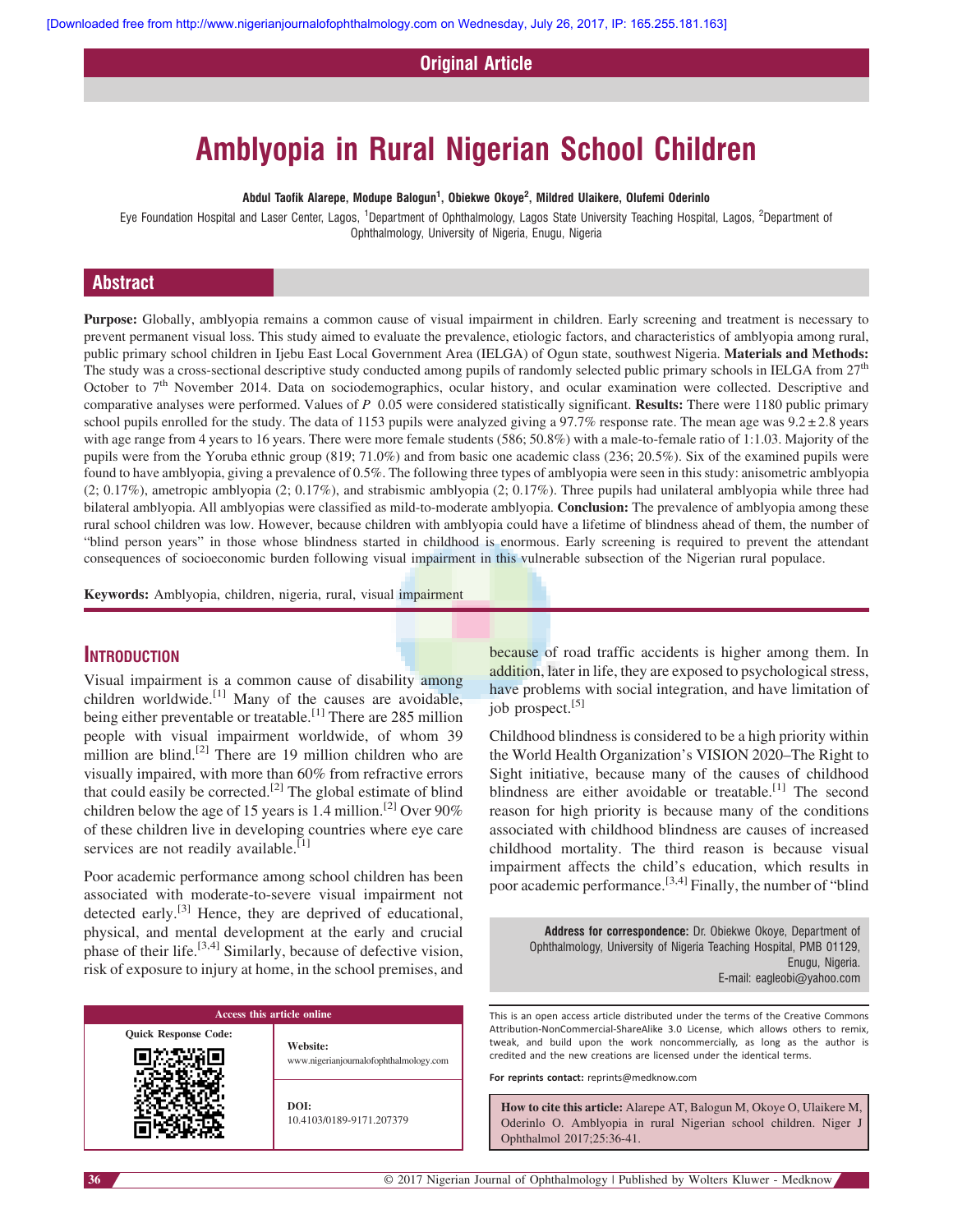Original Article

# Amblyopia in Rural Nigerian School Children

Abdul Taofik Alarepe, Modupe Balogun $^1\!,\,$  Obiekwe Okoye $^2\!,\,$  Mildred Ulaikere, Olufemi Oderinlo

Eye Foundation Hospital and Laser Center, Lagos, <sup>1</sup>Department of Ophthalmology, Lagos State University Teaching Hospital, Lagos, <sup>2</sup>Department of Ophthalmology, University of Nigeria, Enugu, Nigeria

# Abstract

Purpose: Globally, amblyopia remains a common cause of visual impairment in children. Early screening and treatment is necessary to prevent permanent visual loss. This study aimed to evaluate the prevalence, etiologic factors, and characteristics of amblyopia among rural, public primary school children in Ijebu East Local Government Area (IELGA) of Ogun state, southwest Nigeria. Materials and Methods: The study was a cross-sectional descriptive study conducted among pupils of randomly selected public primary schools in IELGA from 27<sup>th</sup> October to  $7<sup>th</sup>$  November 2014. Data on sociodemographics, ocular history, and ocular examination were collected. Descriptive and comparative analyses were performed. Values of P 0.05 were considered statistically significant. Results: There were 1180 public primary school pupils enrolled for the study. The data of 1153 pupils were analyzed giving a 97.7% response rate. The mean age was  $9.2 \pm 2.8$  years with age range from 4 years to 16 years. There were more female students (586; 50.8%) with a male-to-female ratio of 1:1.03. Majority of the pupils were from the Yoruba ethnic group (819; 71.0%) and from basic one academic class (236; 20.5%). Six of the examined pupils were found to have amblyopia, giving a prevalence of 0.5%. The following three types of amblyopia were seen in this study: anisometric amblyopia (2; 0.17%), ametropic amblyopia (2; 0.17%), and strabismic amblyopia (2; 0.17%). Three pupils had unilateral amblyopia while three had bilateral amblyopia. All amblyopias were classified as mild-to-moderate amblyopia. **Conclusion:** The prevalence of amblyopia among these rural school children was low. However, because children with amblyopia could have a lifetime of blindness ahead of them, the number of "blind person years" in those whose blindness started in childhood is enormous. Early screening is required to prevent the attendant consequences of socioeconomic burden following visual impairment in this vulnerable subsection of the Nigerian rural populace.

Keywords: Amblyopia, children, nigeria, rural, visual impairment

### **INTRODUCTION**

Visual impairment is a common cause of disability among children worldwide. $[1]$  Many of the causes are avoidable, being either preventable or treatable.<sup>[1]</sup> There are 285 million people with visual impairment worldwide, of whom 39 million are blind.<sup>[2]</sup> There are 19 million children who are visually impaired, with more than 60% from refractive errors that could easily be corrected.<sup>[2]</sup> The global estimate of blind children below the age of 15 years is 1.4 million.<sup>[2]</sup> Over 90% of these children live in developing countries where eye care services are not readily available.<sup>[1]</sup>

Poor academic performance among school children has been associated with moderate-to-severe visual impairment not detected early.<sup>[3]</sup> Hence, they are deprived of educational, physical, and mental development at the early and crucial phase of their life.<sup>[3,4]</sup> Similarly, because of defective vision, risk of exposure to injury at home, in the school premises, and



because of road traffic accidents is higher among them. In addition, later in life, they are exposed to psychological stress, have problems with social integration, and have limitation of job prospect.<sup>[5]</sup>

Childhood blindness is considered to be a high priority within the World Health Organization's VISION 2020–The Right to Sight initiative, because many of the causes of childhood blindness are either avoidable or treatable.<sup>[1]</sup> The second reason for high priority is because many of the conditions associated with childhood blindness are causes of increased childhood mortality. The third reason is because visual impairment affects the child's education, which results in poor academic performance.[3,4] Finally, the number of "blind

> Address for correspondence: Dr. Obiekwe Okoye, Department of Ophthalmology, University of Nigeria Teaching Hospital, PMB 01129, Enugu, Nigeria. E-mail: [eagleobi@yahoo.com](mailto:eagleobi@yahoo.com)

This is an open access article distributed under the terms of the Creative Commons Attribution-NonCommercial-ShareAlike 3.0 License, which allows others to remix, tweak, and build upon the work noncommercially, as long as the author is credited and the new creations are licensed under the identical terms.

For reprints contact: reprints@medknow.com

How to cite this article: Alarepe AT, Balogun M, Okoye O, Ulaikere M, Oderinlo O. Amblyopia in rural Nigerian school children. Niger J Ophthalmol 2017;25:36-41.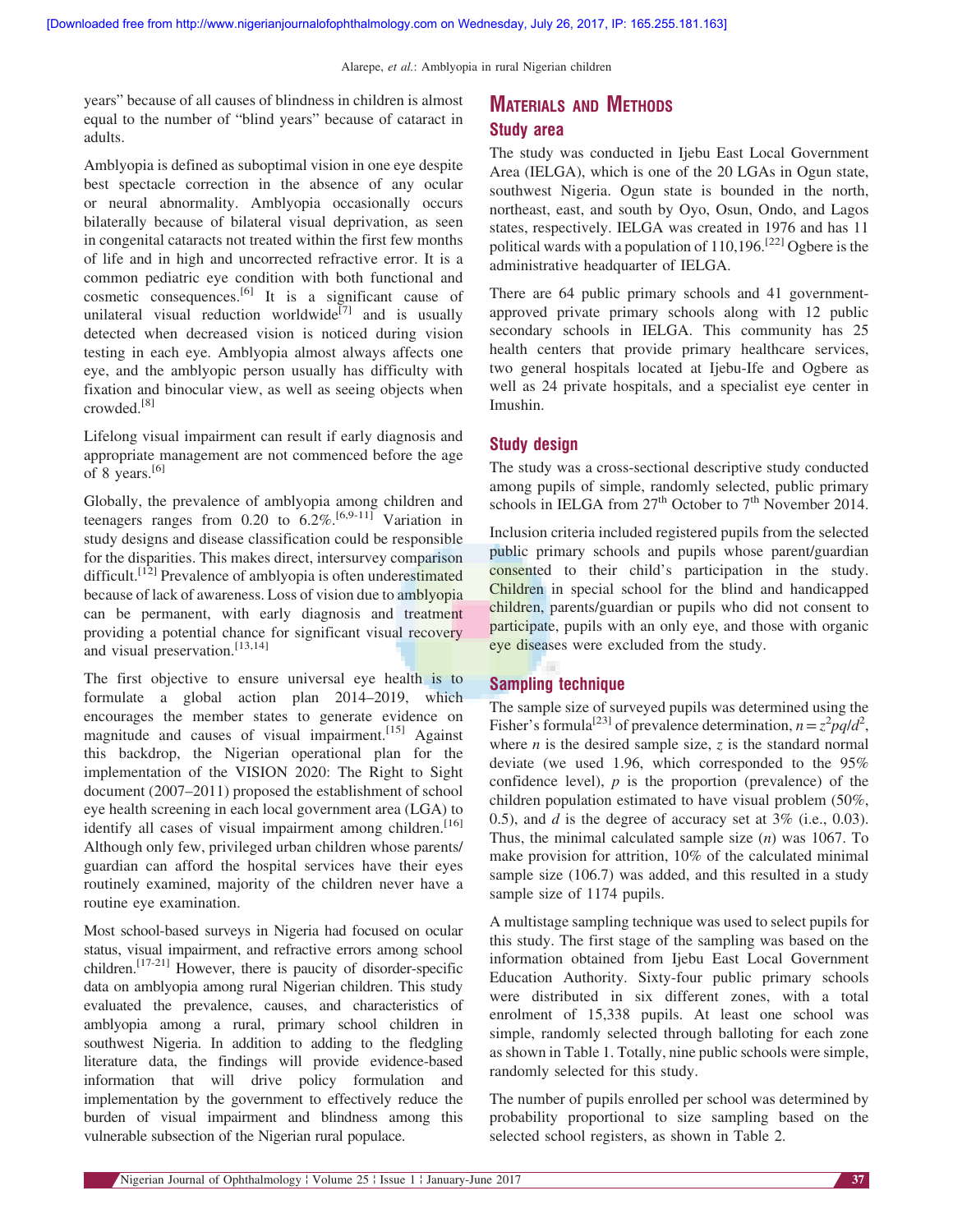years" because of all causes of blindness in children is almost equal to the number of "blind years" because of cataract in adults.

Amblyopia is defined as suboptimal vision in one eye despite best spectacle correction in the absence of any ocular or neural abnormality. Amblyopia occasionally occurs bilaterally because of bilateral visual deprivation, as seen in congenital cataracts not treated within the first few months of life and in high and uncorrected refractive error. It is a common pediatric eye condition with both functional and cosmetic consequences.[6] It is a significant cause of unilateral visual reduction worldwide<sup>[7]</sup> and is usually detected when decreased vision is noticed during vision testing in each eye. Amblyopia almost always affects one eye, and the amblyopic person usually has difficulty with fixation and binocular view, as well as seeing objects when crowded.[8]

Lifelong visual impairment can result if early diagnosis and appropriate management are not commenced before the age of 8 years.[6]

Globally, the prevalence of amblyopia among children and teenagers ranges from 0.20 to  $6.2\%$ .<sup>[6,9-11]</sup> Variation in study designs and disease classification could be responsible for the disparities. This makes direct, intersurvey comparison difficult.<sup>[12]</sup> Prevalence of amblyopia is often underestimated because of lack of awareness. Loss of vision due to amblyopia can be permanent, with early diagnosis and treatment providing a potential chance for significant visual recovery and visual preservation.<sup>[13,14]</sup>

The first objective to ensure universal eye health is to formulate a global action plan 2014–2019, which encourages the member states to generate evidence on magnitude and causes of visual impairment.<sup>[15]</sup> Against this backdrop, the Nigerian operational plan for the implementation of the VISION 2020: The Right to Sight document (2007–2011) proposed the establishment of school eye health screening in each local government area (LGA) to identify all cases of visual impairment among children.<sup>[16]</sup> Although only few, privileged urban children whose parents/ guardian can afford the hospital services have their eyes routinely examined, majority of the children never have a routine eye examination.

Most school-based surveys in Nigeria had focused on ocular status, visual impairment, and refractive errors among school children.<sup>[17-21]</sup> However, there is paucity of disorder-specific data on amblyopia among rural Nigerian children. This study evaluated the prevalence, causes, and characteristics of amblyopia among a rural, primary school children in southwest Nigeria. In addition to adding to the fledgling literature data, the findings will provide evidence-based information that will drive policy formulation and implementation by the government to effectively reduce the burden of visual impairment and blindness among this vulnerable subsection of the Nigerian rural populace.

# MATERIALS AND METHODS Study area

The study was conducted in Ijebu East Local Government Area (IELGA), which is one of the 20 LGAs in Ogun state, southwest Nigeria. Ogun state is bounded in the north, northeast, east, and south by Oyo, Osun, Ondo, and Lagos states, respectively. IELGA was created in 1976 and has 11 political wards with a population of  $110,196$ .<sup>[22]</sup> Ogbere is the administrative headquarter of IELGA.

There are 64 public primary schools and 41 governmentapproved private primary schools along with 12 public secondary schools in IELGA. This community has 25 health centers that provide primary healthcare services, two general hospitals located at Ijebu-Ife and Ogbere as well as 24 private hospitals, and a specialist eye center in Imushin.

## Study design

The study was a cross-sectional descriptive study conducted among pupils of simple, randomly selected, public primary schools in IELGA from  $27<sup>th</sup>$  October to  $7<sup>th</sup>$  November 2014.

Inclusion criteria included registered pupils from the selected public primary schools and pupils whose parent/guardian consented to their child's participation in the study. Children in special school for the blind and handicapped children, parents/guardian or pupils who did not consent to participate, pupils with an only eye, and those with organic eye diseases were excluded from the study.

## Sampling technique

The sample size of surveyed pupils was determined using the Fisher's formula<sup>[23]</sup> of prevalence determination,  $n = z^2 pq/d^2$ , where *n* is the desired sample size, *z* is the standard normal deviate (we used 1.96, which corresponded to the 95% confidence level),  $p$  is the proportion (prevalence) of the children population estimated to have visual problem (50%, 0.5), and  $d$  is the degree of accuracy set at  $3\%$  (i.e., 0.03). Thus, the minimal calculated sample size  $(n)$  was 1067. To make provision for attrition, 10% of the calculated minimal sample size (106.7) was added, and this resulted in a study sample size of 1174 pupils.

A multistage sampling technique was used to select pupils for this study. The first stage of the sampling was based on the information obtained from Ijebu East Local Government Education Authority. Sixty-four public primary schools were distributed in six different zones, with a total enrolment of 15,338 pupils. At least one school was simple, randomly selected through balloting for each zone as shown in Table 1. Totally, nine public schools were simple, randomly selected for this study.

The number of pupils enrolled per school was determined by probability proportional to size sampling based on the selected school registers, as shown in Table 2.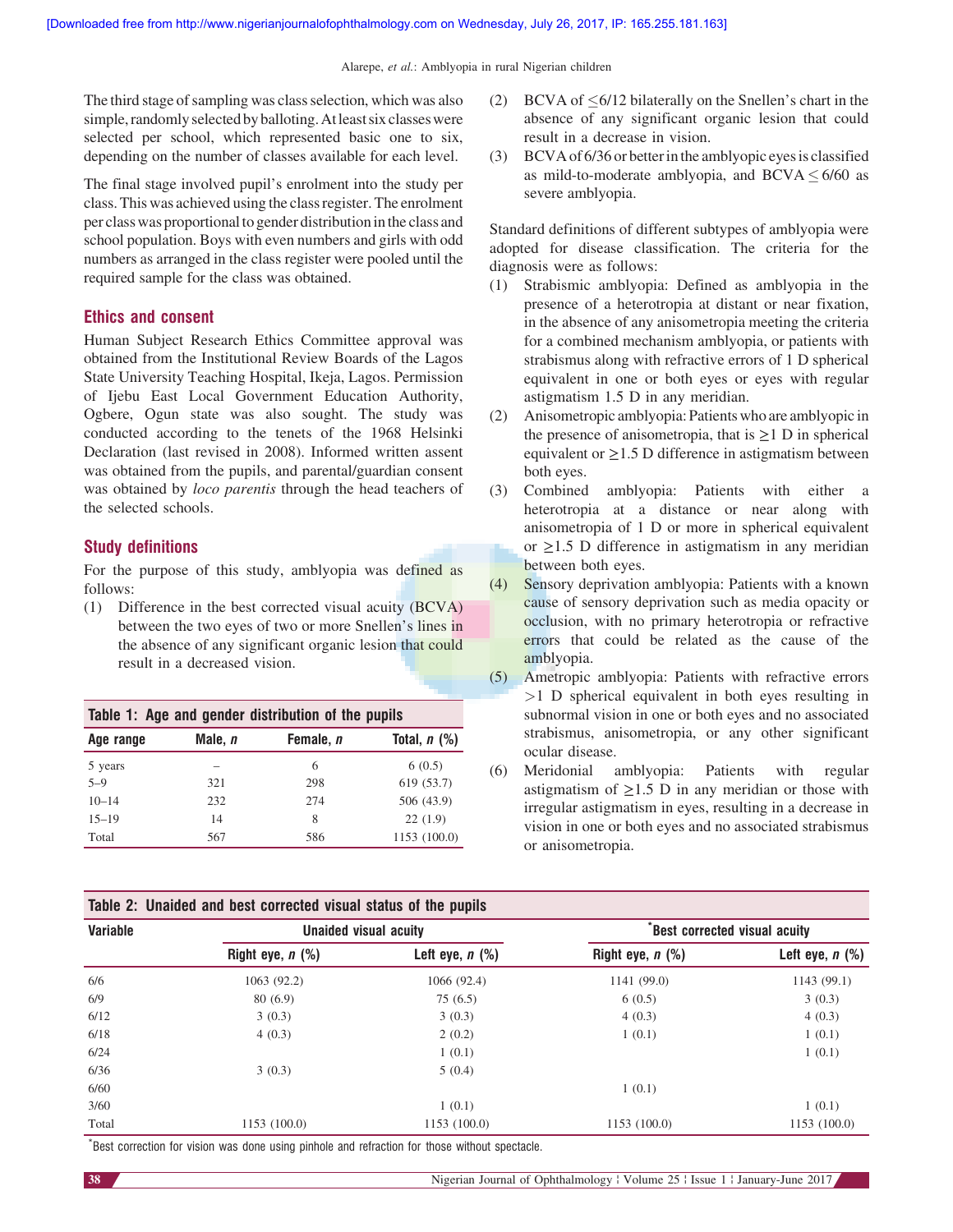The third stage of sampling was class selection, which was also simple, randomly selected by balloting. At least six classes were selected per school, which represented basic one to six, depending on the number of classes available for each level.

The final stage involved pupil's enrolment into the study per class. This was achieved using the class register. The enrolment per class was proportionalto gender distribution inthe class and school population. Boys with even numbers and girls with odd numbers as arranged in the class register were pooled until the required sample for the class was obtained.

## Ethics and consent

Human Subject Research Ethics Committee approval was obtained from the Institutional Review Boards of the Lagos State University Teaching Hospital, Ikeja, Lagos. Permission of Ijebu East Local Government Education Authority, Ogbere, Ogun state was also sought. The study was conducted according to the tenets of the 1968 Helsinki Declaration (last revised in 2008). Informed written assent was obtained from the pupils, and parental/guardian consent was obtained by *loco parentis* through the head teachers of the selected schools.

## Study definitions

For the purpose of this study, amblyopia was defined as follows:

(1) Difference in the best corrected visual acuity (BCVA) between the two eyes of two or more Snellen's lines in the absence of any significant organic lesion that could result in a decreased vision.

| Table 1: Age and gender distribution of the pupils |         |           |                |  |  |  |
|----------------------------------------------------|---------|-----------|----------------|--|--|--|
| Age range                                          | Male, n | Female, n | Total, $n$ (%) |  |  |  |
| 5 years                                            |         | 6         | 6(0.5)         |  |  |  |
| $5 - 9$                                            | 321     | 298       | 619 (53.7)     |  |  |  |
| $10 - 14$                                          | 232     | 274       | 506 (43.9)     |  |  |  |
| $15 - 19$                                          | 14      | 8         | 22(1.9)        |  |  |  |
| Total                                              | 567     | 586       | 1153 (100.0)   |  |  |  |

|  |  |  |  |  | Table 2: Unaided and best corrected visual status of the pupils |  |  |  |  |  |
|--|--|--|--|--|-----------------------------------------------------------------|--|--|--|--|--|
|--|--|--|--|--|-----------------------------------------------------------------|--|--|--|--|--|

- (2) BCVA of  $\leq 6/12$  bilaterally on the Snellen's chart in the absence of any significant organic lesion that could result in a decrease in vision.
- (3) BCVA of 6/36 or betterin the amblyopic eyesis classified as mild-to-moderate amblyopia, and  $BCVA \leq 6/60$  as severe amblyopia.

Standard definitions of different subtypes of amblyopia were adopted for disease classification. The criteria for the diagnosis were as follows:

- (1) Strabismic amblyopia: Defined as amblyopia in the presence of a heterotropia at distant or near fixation, in the absence of any anisometropia meeting the criteria for a combined mechanism amblyopia, or patients with strabismus along with refractive errors of 1 D spherical equivalent in one or both eyes or eyes with regular astigmatism 1.5 D in any meridian.
- (2) Anisometropic amblyopia: Patients who are amblyopic in the presence of anisometropia, that is  $\geq 1$  D in spherical equivalent or  $\geq$ 1.5 D difference in astigmatism between both eyes.
- (3) Combined amblyopia: Patients with either a heterotropia at a distance or near along with anisometropia of 1 D or more in spherical equivalent or ≥1.5 D difference in astigmatism in any meridian between both eyes.
- (4) Sensory deprivation amblyopia: Patients with a known cause of sensory deprivation such as media opacity or occlusion, with no primary heterotropia or refractive errors that could be related as the cause of the amblyopia.
- (5) Ametropic amblyopia: Patients with refractive errors >1 D spherical equivalent in both eyes resulting in subnormal vision in one or both eyes and no associated strabismus, anisometropia, or any other significant ocular disease.
- (6) Meridonial amblyopia: Patients with regular astigmatism of  $\geq$ 1.5 D in any meridian or those with irregular astigmatism in eyes, resulting in a decrease in vision in one or both eyes and no associated strabismus or anisometropia.

| <b>Variable</b> | Unaided visual acuity |                      | <b>Best corrected visual acuity</b> |                      |  |
|-----------------|-----------------------|----------------------|-------------------------------------|----------------------|--|
|                 | Right eye, $n$ $(\%)$ | Left eye, $n$ $(\%)$ | Right eye, $n$ $(\%)$               | Left eye, $n$ $(\%)$ |  |
| 6/6             | 1063 (92.2)           | 1066 (92.4)          | 1141 (99.0)                         | 1143 (99.1)          |  |
| 6/9             | 80(6.9)               | 75(6.5)              | 6(0.5)                              | 3(0.3)               |  |
| 6/12            | 3(0.3)                | 3(0.3)               | 4(0.3)                              | 4(0.3)               |  |
| 6/18            | 4(0.3)                | 2(0.2)               | 1(0.1)                              | 1(0.1)               |  |
| 6/24            |                       | 1(0.1)               |                                     | 1(0.1)               |  |
| 6/36            | 3(0.3)                | 5(0.4)               |                                     |                      |  |
| 6/60            |                       |                      | 1(0.1)                              |                      |  |
| 3/60            |                       | 1(0.1)               |                                     | 1(0.1)               |  |
| Total           | 1153(100.0)           | 1153 (100.0)         | 1153 (100.0)                        | 1153(100.0)          |  |

\* Best correction for vision was done using pinhole and refraction for those without spectacle.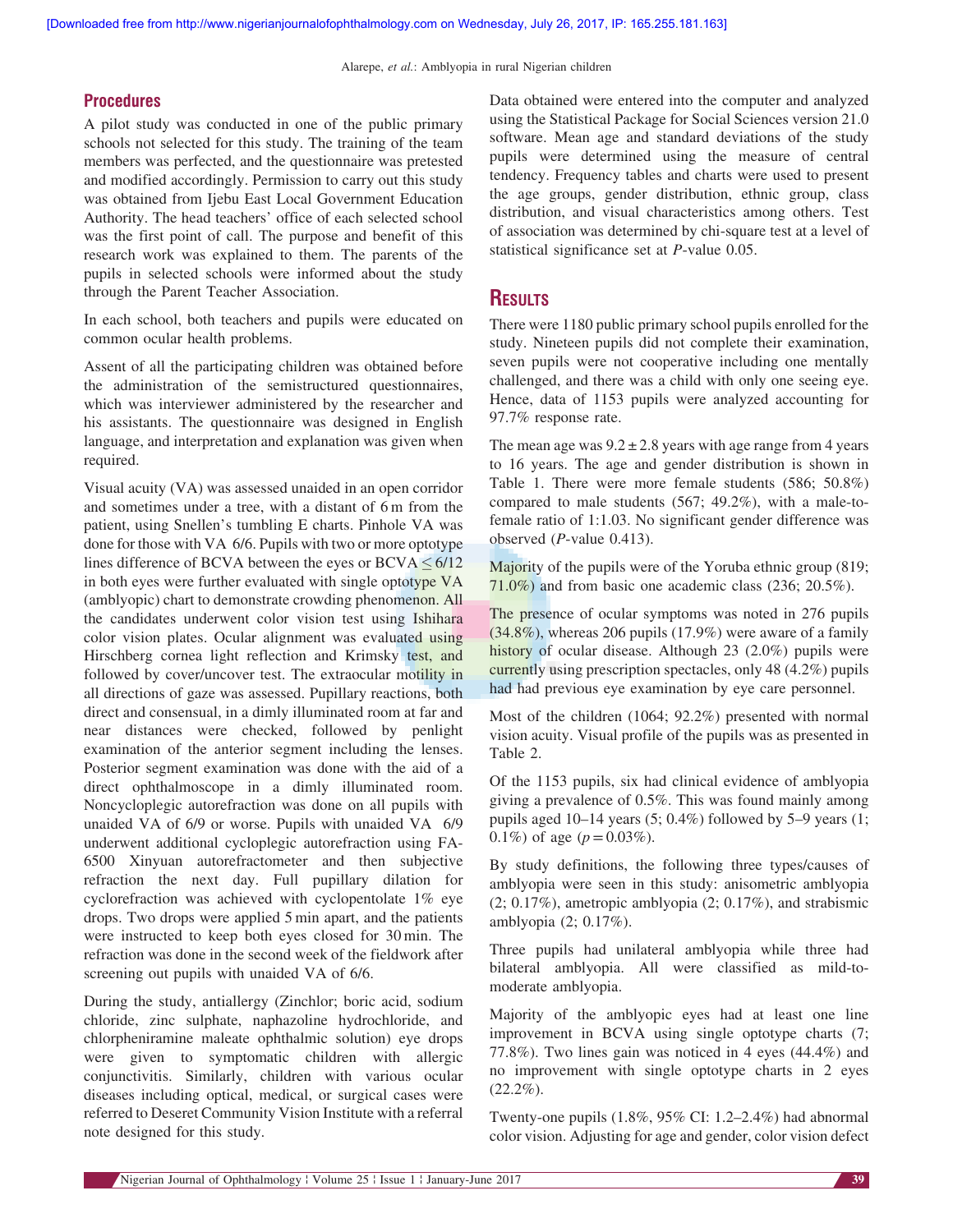#### **Procedures**

A pilot study was conducted in one of the public primary schools not selected for this study. The training of the team members was perfected, and the questionnaire was pretested and modified accordingly. Permission to carry out this study was obtained from Ijebu East Local Government Education Authority. The head teachers' office of each selected school was the first point of call. The purpose and benefit of this research work was explained to them. The parents of the pupils in selected schools were informed about the study through the Parent Teacher Association.

In each school, both teachers and pupils were educated on common ocular health problems.

Assent of all the participating children was obtained before the administration of the semistructured questionnaires, which was interviewer administered by the researcher and his assistants. The questionnaire was designed in English language, and interpretation and explanation was given when required.

Visual acuity (VA) was assessed unaided in an open corridor and sometimes under a tree, with a distant of 6 m from the patient, using Snellen's tumbling E charts. Pinhole VA was done for those with VA 6/6. Pupils with two or more optotype lines difference of BCVA between the eyes or BCVA  $\leq 6/12$ in both eyes were further evaluated with single optotype VA (amblyopic) chart to demonstrate crowding phenomenon. All the candidates underwent color vision test using Ishihara color vision plates. Ocular alignment was evaluated using Hirschberg cornea light reflection and Krimsky test, and followed by cover/uncover test. The extraocular motility in all directions of gaze was assessed. Pupillary reactions, both direct and consensual, in a dimly illuminated room at far and near distances were checked, followed by penlight examination of the anterior segment including the lenses. Posterior segment examination was done with the aid of a direct ophthalmoscope in a dimly illuminated room. Noncycloplegic autorefraction was done on all pupils with unaided VA of 6/9 or worse. Pupils with unaided VA 6/9 underwent additional cycloplegic autorefraction using FA-6500 Xinyuan autorefractometer and then subjective refraction the next day. Full pupillary dilation for cyclorefraction was achieved with cyclopentolate 1% eye drops. Two drops were applied 5 min apart, and the patients were instructed to keep both eyes closed for 30 min. The refraction was done in the second week of the fieldwork after screening out pupils with unaided VA of 6/6.

During the study, antiallergy (Zinchlor; boric acid, sodium chloride, zinc sulphate, naphazoline hydrochloride, and chlorpheniramine maleate ophthalmic solution) eye drops were given to symptomatic children with allergic conjunctivitis. Similarly, children with various ocular diseases including optical, medical, or surgical cases were referred to Deseret Community Vision Institute with a referral note designed for this study.

Data obtained were entered into the computer and analyzed using the Statistical Package for Social Sciences version 21.0 software. Mean age and standard deviations of the study pupils were determined using the measure of central tendency. Frequency tables and charts were used to present the age groups, gender distribution, ethnic group, class distribution, and visual characteristics among others. Test of association was determined by chi-square test at a level of statistical significance set at P-value 0.05.

# **RESULTS**

There were 1180 public primary school pupils enrolled for the study. Nineteen pupils did not complete their examination, seven pupils were not cooperative including one mentally challenged, and there was a child with only one seeing eye. Hence, data of 1153 pupils were analyzed accounting for 97.7% response rate.

The mean age was  $9.2 \pm 2.8$  years with age range from 4 years to 16 years. The age and gender distribution is shown in Table 1. There were more female students (586; 50.8%) compared to male students (567; 49.2%), with a male-tofemale ratio of 1:1.03. No significant gender difference was observed (P-value 0.413).

Majority of the pupils were of the Yoruba ethnic group (819; 71.0%) and from basic one academic class (236; 20.5%).

The presence of ocular symptoms was noted in 276 pupils  $(34.8\%)$ , whereas 206 pupils  $(17.9\%)$  were aware of a family history of ocular disease. Although 23 (2.0%) pupils were currently using prescription spectacles, only 48 (4.2%) pupils had had previous eye examination by eye care personnel.

Most of the children (1064; 92.2%) presented with normal vision acuity. Visual profile of the pupils was as presented in Table 2.

Of the 1153 pupils, six had clinical evidence of amblyopia giving a prevalence of 0.5%. This was found mainly among pupils aged  $10-14$  years  $(5; 0.4\%)$  followed by  $5-9$  years  $(1;$ 0.1%) of age  $(p=0.03\%)$ .

By study definitions, the following three types/causes of amblyopia were seen in this study: anisometric amblyopia (2; 0.17%), ametropic amblyopia (2; 0.17%), and strabismic amblyopia (2; 0.17%).

Three pupils had unilateral amblyopia while three had bilateral amblyopia. All were classified as mild-tomoderate amblyopia.

Majority of the amblyopic eyes had at least one line improvement in BCVA using single optotype charts (7; 77.8%). Two lines gain was noticed in 4 eyes (44.4%) and no improvement with single optotype charts in 2 eyes  $(22.2\%)$ .

Twenty-one pupils (1.8%, 95% CI: 1.2–2.4%) had abnormal color vision. Adjusting for age and gender, color vision defect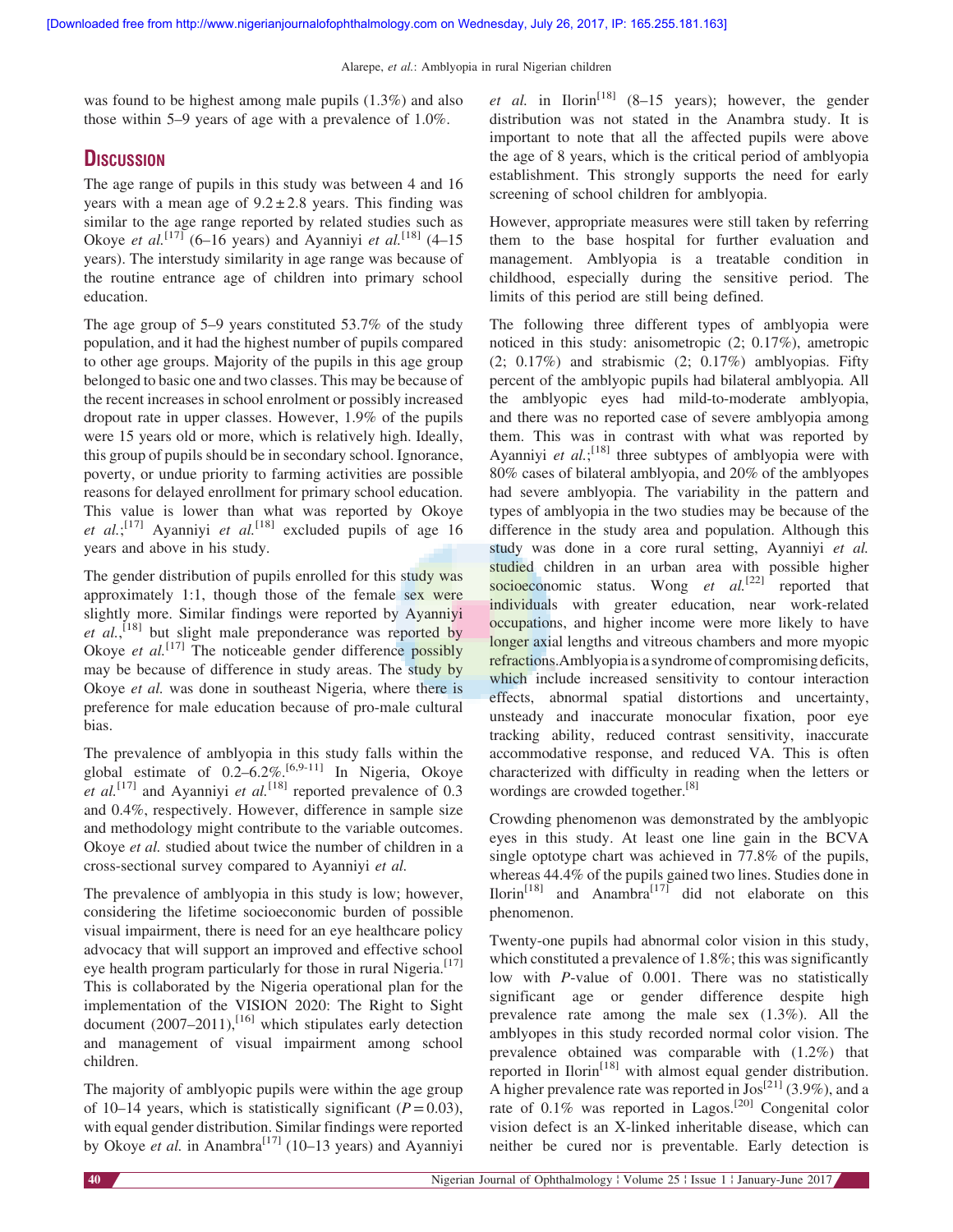was found to be highest among male pupils (1.3%) and also those within 5–9 years of age with a prevalence of 1.0%.

# **DISCUSSION**

The age range of pupils in this study was between 4 and 16 years with a mean age of  $9.2 \pm 2.8$  years. This finding was similar to the age range reported by related studies such as Okoye et al.<sup>[17]</sup> (6–16 years) and Ayanniyi et al.<sup>[18]</sup> (4–15 years). The interstudy similarity in age range was because of the routine entrance age of children into primary school education.

The age group of 5–9 years constituted 53.7% of the study population, and it had the highest number of pupils compared to other age groups. Majority of the pupils in this age group belonged to basic one and two classes. This may be because of the recent increases in school enrolment or possibly increased dropout rate in upper classes. However, 1.9% of the pupils were 15 years old or more, which is relatively high. Ideally, this group of pupils should be in secondary school. Ignorance, poverty, or undue priority to farming activities are possible reasons for delayed enrollment for primary school education. This value is lower than what was reported by Okoye et al.;<sup>[17]</sup> Ayanniyi et al.<sup>[18]</sup> excluded pupils of age 16 years and above in his study.

The gender distribution of pupils enrolled for this study was approximately 1:1, though those of the female sex were slightly more. Similar findings were reported by Ayanniyi  $et$   $al$ ,  $^{[18]}$  but slight male preponderance was reported by Okove et  $al$ <sup>[17]</sup> The noticeable gender difference possibly may be because of difference in study areas. The study by Okoye et al. was done in southeast Nigeria, where there is preference for male education because of pro-male cultural bias.

The prevalence of amblyopia in this study falls within the global estimate of  $0.2-6.2\%$ .<sup>[6,9-11]</sup> In Nigeria, Okoye et al.<sup>[17]</sup> and Ayanniyi et al.<sup>[18]</sup> reported prevalence of 0.3 and 0.4%, respectively. However, difference in sample size and methodology might contribute to the variable outcomes. Okoye et al. studied about twice the number of children in a cross-sectional survey compared to Ayanniyi et al.

The prevalence of amblyopia in this study is low; however, considering the lifetime socioeconomic burden of possible visual impairment, there is need for an eye healthcare policy advocacy that will support an improved and effective school eye health program particularly for those in rural Nigeria.<sup>[17]</sup> This is collaborated by the Nigeria operational plan for the implementation of the VISION 2020: The Right to Sight document  $(2007-2011)$ ,<sup>[16]</sup> which stipulates early detection and management of visual impairment among school children.

The majority of amblyopic pupils were within the age group of 10–14 years, which is statistically significant ( $P=0.03$ ), with equal gender distribution. Similar findings were reported by Okoye et al. in Anambra<sup>[17]</sup> (10–13 years) and Ayanniyi

*et al.* in Ilorin<sup>[18]</sup> (8–15 years); however, the gender distribution was not stated in the Anambra study. It is important to note that all the affected pupils were above the age of 8 years, which is the critical period of amblyopia establishment. This strongly supports the need for early screening of school children for amblyopia.

However, appropriate measures were still taken by referring them to the base hospital for further evaluation and management. Amblyopia is a treatable condition in childhood, especially during the sensitive period. The limits of this period are still being defined.

The following three different types of amblyopia were noticed in this study: anisometropic (2; 0.17%), ametropic  $(2; 0.17\%)$  and strabismic  $(2; 0.17\%)$  amblyopias. Fifty percent of the amblyopic pupils had bilateral amblyopia. All the amblyopic eyes had mild-to-moderate amblyopia, and there was no reported case of severe amblyopia among them. This was in contrast with what was reported by Ayanniyi et  $al$ ;<sup>[18]</sup> three subtypes of amblyopia were with 80% cases of bilateral amblyopia, and 20% of the amblyopes had severe amblyopia. The variability in the pattern and types of amblyopia in the two studies may be because of the difference in the study area and population. Although this study was done in a core rural setting, Ayanniyi et al. studied children in an urban area with possible higher socioeconomic status. Wong  $et$   $al$ <sup>[22]</sup> reported that individuals with greater education, near work-related occupations, and higher income were more likely to have longer axial lengths and vitreous chambers and more myopic refractions.Amblyopiais a syndrome of compromising deficits, which include increased sensitivity to contour interaction effects, abnormal spatial distortions and uncertainty, unsteady and inaccurate monocular fixation, poor eye tracking ability, reduced contrast sensitivity, inaccurate accommodative response, and reduced VA. This is often characterized with difficulty in reading when the letters or wordings are crowded together.<sup>[8]</sup>

Crowding phenomenon was demonstrated by the amblyopic eyes in this study. At least one line gain in the BCVA single optotype chart was achieved in 77.8% of the pupils, whereas 44.4% of the pupils gained two lines. Studies done in  $Ilorin<sup>[18]</sup>$  and Anambra<sup>[17]</sup> did not elaborate on this phenomenon.

Twenty-one pupils had abnormal color vision in this study, which constituted a prevalence of 1.8%; this was significantly low with P-value of 0.001. There was no statistically significant age or gender difference despite high prevalence rate among the male sex (1.3%). All the amblyopes in this study recorded normal color vision. The prevalence obtained was comparable with (1.2%) that reported in Ilorin<sup>[18]</sup> with almost equal gender distribution. A higher prevalence rate was reported in  $\text{Jos}^{[21]}$  (3.9%), and a rate of 0.1% was reported in Lagos.<sup>[20]</sup> Congenital color vision defect is an X-linked inheritable disease, which can neither be cured nor is preventable. Early detection is